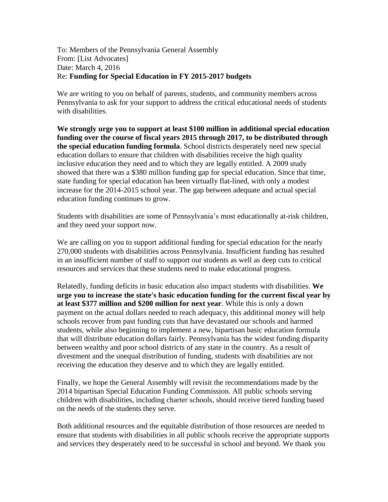To: Members of the Pennsylvania General Assembly From: [List Advocates] Date: March 4, 2016 Re: **Funding for Special Education in FY 2015-2017 budgets**

We are writing to you on behalf of parents, students, and community members across Pennsylvania to ask for your support to address the critical educational needs of students with disabilities.

**We strongly urge you to support at least \$100 million in additional special education funding over the course of fiscal years 2015 through 2017, to be distributed through the special education funding formula**. School districts desperately need new special education dollars to ensure that children with disabilities receive the high quality inclusive education they need and to which they are legally entitled. A 2009 study showed that there was a \$380 million funding gap for special education. Since that time, state funding for special education has been virtually flat-lined, with only a modest increase for the 2014-2015 school year. The gap between adequate and actual special education funding continues to grow.

Students with disabilities are some of Pennsylvania's most educationally at-risk children, and they need your support now.

We are calling on you to support additional funding for special education for the nearly 270,000 students with disabilities across Pennsylvania. Insufficient funding has resulted in an insufficient number of staff to support our students as well as deep cuts to critical resources and services that these students need to make educational progress.

Relatedly, funding deficits in basic education also impact students with disabilities. **We urge you to increase the state's basic education funding for the current fiscal year by at least \$377 million and \$200 million for next year**. While this is only a down payment on the actual dollars needed to reach adequacy, this additional money will help schools recover from past funding cuts that have devastated our schools and harmed students, while also beginning to implement a new, bipartisan basic education formula that will distribute education dollars fairly. Pennsylvania has the widest funding disparity between wealthy and poor school districts of any state in the country. As a result of divestment and the unequal distribution of funding, students with disabilities are not receiving the education they deserve and to which they are legally entitled.

Finally, we hope the General Assembly will revisit the recommendations made by the 2014 bipartisan Special Education Funding Commission. All public schools serving children with disabilities, including charter schools, should receive tiered funding based on the needs of the students they serve.

Both additional resources and the equitable distribution of those resources are needed to ensure that students with disabilities in all public schools receive the appropriate supports and services they desperately need to be successful in school and beyond. We thank you